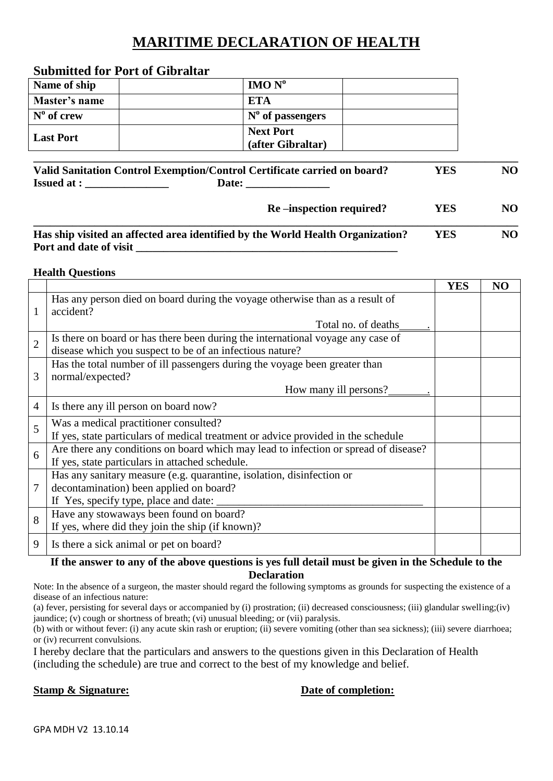# **MARITIME DECLARATION OF HEALTH**

| Davimited for 1 oft of Ongrafia   |                                       |  |  |  |  |  |  |
|-----------------------------------|---------------------------------------|--|--|--|--|--|--|
| Name of ship                      | IMO N <sup>o</sup>                    |  |  |  |  |  |  |
| Master's name                     | <b>ETA</b>                            |  |  |  |  |  |  |
| $\mathbf{N}^{\mathbf{0}}$ of crew | $N^{\circ}$ of passengers             |  |  |  |  |  |  |
| <b>Last Port</b>                  | <b>Next Port</b><br>(after Gibraltar) |  |  |  |  |  |  |

# **Submitted for Port of Gibraltar**

|                   | Valid Sanitation Control Exemption/Control Certificate carried on board? | YES | NO |
|-------------------|--------------------------------------------------------------------------|-----|----|
| <b>Issued at:</b> | <b>Date:</b>                                                             |     |    |

Re –inspection required? **YES** NO

| Has ship visited an affected area identified by the World Health Organization? | <b>YES</b> | NO |
|--------------------------------------------------------------------------------|------------|----|
| Port and date of visit                                                         |            |    |

#### **Health Questions**

|                |                                                                                           | <b>YES</b> | NO |
|----------------|-------------------------------------------------------------------------------------------|------------|----|
| 1              | Has any person died on board during the voyage otherwise than as a result of<br>accident? |            |    |
|                | Total no. of deaths                                                                       |            |    |
| $\overline{2}$ | Is there on board or has there been during the international voyage any case of           |            |    |
|                | disease which you suspect to be of an infectious nature?                                  |            |    |
|                | Has the total number of ill passengers during the voyage been greater than                |            |    |
| 3              | normal/expected?                                                                          |            |    |
|                | How many ill persons?                                                                     |            |    |
| $\overline{4}$ | Is there any ill person on board now?                                                     |            |    |
| 5              | Was a medical practitioner consulted?                                                     |            |    |
|                | If yes, state particulars of medical treatment or advice provided in the schedule         |            |    |
| 6              | Are there any conditions on board which may lead to infection or spread of disease?       |            |    |
|                | If yes, state particulars in attached schedule.                                           |            |    |
| 7              | Has any sanitary measure (e.g. quarantine, isolation, disinfection or                     |            |    |
|                | decontamination) been applied on board?                                                   |            |    |
|                | If Yes, specify type, place and date:                                                     |            |    |
| 8              | Have any stowaways been found on board?                                                   |            |    |
|                | If yes, where did they join the ship (if known)?                                          |            |    |
| 9              | Is there a sick animal or pet on board?                                                   |            |    |

#### **If the answer to any of the above questions is yes full detail must be given in the Schedule to the Declaration**

Note: In the absence of a surgeon, the master should regard the following symptoms as grounds for suspecting the existence of a disease of an infectious nature:

(a) fever, persisting for several days or accompanied by (i) prostration; (ii) decreased consciousness; (iii) glandular swelling;(iv) jaundice; (v) cough or shortness of breath; (vi) unusual bleeding; or (vii) paralysis.

(b) with or without fever: (i) any acute skin rash or eruption; (ii) severe vomiting (other than sea sickness); (iii) severe diarrhoea; or (iv) recurrent convulsions.

I hereby declare that the particulars and answers to the questions given in this Declaration of Health (including the schedule) are true and correct to the best of my knowledge and belief.

### **Stamp & Signature: Date of completion:**